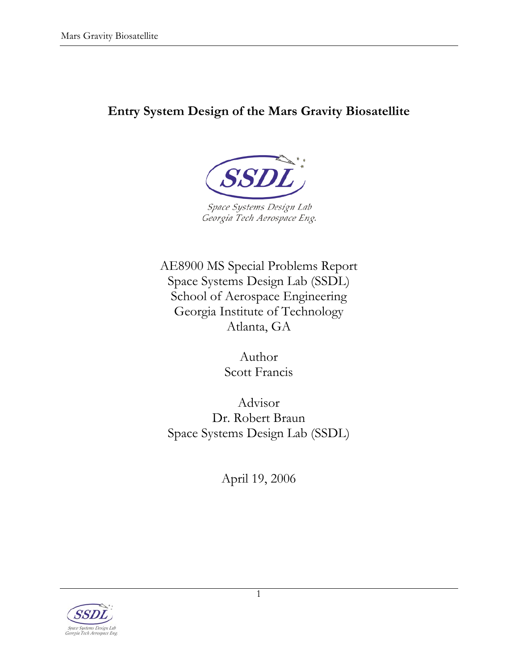# **Entry System Design of the Mars Gravity Biosatellite**



AE8900 MS Special Problems Report Space Systems Design Lab (SSDL) School of Aerospace Engineering Georgia Institute of Technology Atlanta, GA

> Author Scott Francis

Advisor Dr. Robert Braun Space Systems Design Lab (SSDL)

April 19, 2006

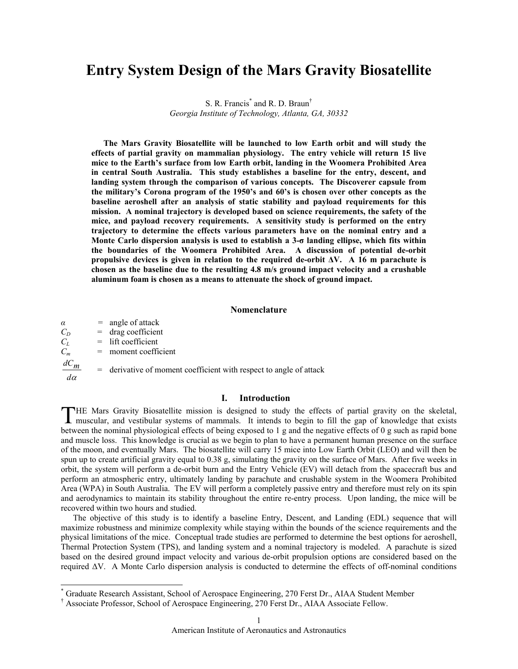## **Entry System Design of the Mars Gravity Biosatellite**

S. R. Francis<sup>\*</sup> and R. D. Braun<sup>†</sup> *Georgia Institute of Technology, Atlanta, GA, 30332*

**The Mars Gravity Biosatellite will be launched to low Earth orbit and will study the effects of partial gravity on mammalian physiology. The entry vehicle will return 15 live mice to the Earth's surface from low Earth orbit, landing in the Woomera Prohibited Area in central South Australia. This study establishes a baseline for the entry, descent, and landing system through the comparison of various concepts. The Discoverer capsule from the military's Corona program of the 1950's and 60's is chosen over other concepts as the baseline aeroshell after an analysis of static stability and payload requirements for this mission. A nominal trajectory is developed based on science requirements, the safety of the mice, and payload recovery requirements. A sensitivity study is performed on the entry trajectory to determine the effects various parameters have on the nominal entry and a Monte Carlo dispersion analysis is used to establish a 3-σ landing ellipse, which fits within the boundaries of the Woomera Prohibited Area. A discussion of potential de-orbit propulsive devices is given in relation to the required de-orbit ∆V. A 16 m parachute is chosen as the baseline due to the resulting 4.8 m/s ground impact velocity and a crushable aluminum foam is chosen as a means to attenuate the shock of ground impact.** 

#### **Nomenclature**

 $\alpha$  = angle of attack  $C_D$  = drag coefficient  $C_L$  = lift coefficient  $C_m$  = moment coefficient *d*<sup>α</sup>  $\frac{dC_m}{dt}$  = derivative of moment coefficient with respect to angle of attack

#### **I. Introduction**

HE Mars Gravity Biosatellite mission is designed to study the effects of partial gravity on the skeletal, THE Mars Gravity Biosatellite mission is designed to study the effects of partial gravity on the skeletal, muscular, and vestibular systems of mammals. It intends to begin to fill the gap of knowledge that exists between the nominal physiological effects of being exposed to 1 g and the negative effects of 0 g such as rapid bone and muscle loss. This knowledge is crucial as we begin to plan to have a permanent human presence on the surface of the moon, and eventually Mars. The biosatellite will carry 15 mice into Low Earth Orbit (LEO) and will then be spun up to create artificial gravity equal to 0.38 g, simulating the gravity on the surface of Mars. After five weeks in orbit, the system will perform a de-orbit burn and the Entry Vehicle (EV) will detach from the spacecraft bus and perform an atmospheric entry, ultimately landing by parachute and crushable system in the Woomera Prohibited Area (WPA) in South Australia. The EV will perform a completely passive entry and therefore must rely on its spin and aerodynamics to maintain its stability throughout the entire re-entry process. Upon landing, the mice will be recovered within two hours and studied.

The objective of this study is to identify a baseline Entry, Descent, and Landing (EDL) sequence that will maximize robustness and minimize complexity while staying within the bounds of the science requirements and the physical limitations of the mice. Conceptual trade studies are performed to determine the best options for aeroshell, Thermal Protection System (TPS), and landing system and a nominal trajectory is modeled. A parachute is sized based on the desired ground impact velocity and various de-orbit propulsion options are considered based on the required ∆V. A Monte Carlo dispersion analysis is conducted to determine the effects of off-nominal conditions

 <sup>\*</sup> Graduate Research Assistant, School of Aerospace Engineering, 270 Ferst Dr., AIAA Student Member

<sup>†</sup> Associate Professor, School of Aerospace Engineering, 270 Ferst Dr., AIAA Associate Fellow.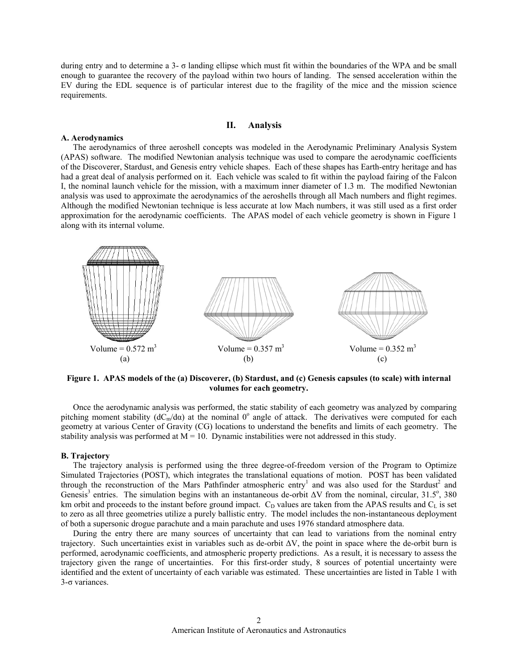during entry and to determine a 3- σ landing ellipse which must fit within the boundaries of the WPA and be small enough to guarantee the recovery of the payload within two hours of landing. The sensed acceleration within the EV during the EDL sequence is of particular interest due to the fragility of the mice and the mission science requirements.

## **II. Analysis**

#### **A. Aerodynamics**

The aerodynamics of three aeroshell concepts was modeled in the Aerodynamic Preliminary Analysis System (APAS) software. The modified Newtonian analysis technique was used to compare the aerodynamic coefficients of the Discoverer, Stardust, and Genesis entry vehicle shapes. Each of these shapes has Earth-entry heritage and has had a great deal of analysis performed on it. Each vehicle was scaled to fit within the payload fairing of the Falcon I, the nominal launch vehicle for the mission, with a maximum inner diameter of 1.3 m. The modified Newtonian analysis was used to approximate the aerodynamics of the aeroshells through all Mach numbers and flight regimes. Although the modified Newtonian technique is less accurate at low Mach numbers, it was still used as a first order approximation for the aerodynamic coefficients. The APAS model of each vehicle geometry is shown in Figure 1 along with its internal volume.



**Figure 1. APAS models of the (a) Discoverer, (b) Stardust, and (c) Genesis capsules (to scale) with internal volumes for each geometry.** 

Once the aerodynamic analysis was performed, the static stability of each geometry was analyzed by comparing pitching moment stability ( $dC<sub>m</sub>/d\alpha$ ) at the nominal 0<sup>°</sup> angle of attack. The derivatives were computed for each geometry at various Center of Gravity (CG) locations to understand the benefits and limits of each geometry. The stability analysis was performed at  $M = 10$ . Dynamic instabilities were not addressed in this study.

#### **B. Trajectory**

The trajectory analysis is performed using the three degree-of-freedom version of the Program to Optimize Simulated Trajectories (POST), which integrates the translational equations of motion. POST has been validated through the reconstruction of the Mars Pathfinder atmospheric entry<sup>1</sup> and was also used for the Stardust<sup>2</sup> and Genesis<sup>3</sup> entries. The simulation begins with an instantaneous de-orbit  $\Delta V$  from the nominal, circular, 31.5°, 380 km orbit and proceeds to the instant before ground impact.  $C_D$  values are taken from the APAS results and  $C_L$  is set to zero as all three geometries utilize a purely ballistic entry. The model includes the non-instantaneous deployment of both a supersonic drogue parachute and a main parachute and uses 1976 standard atmosphere data.

During the entry there are many sources of uncertainty that can lead to variations from the nominal entry trajectory. Such uncertainties exist in variables such as de-orbit ∆V, the point in space where the de-orbit burn is performed, aerodynamic coefficients, and atmospheric property predictions. As a result, it is necessary to assess the trajectory given the range of uncertainties. For this first-order study, 8 sources of potential uncertainty were identified and the extent of uncertainty of each variable was estimated. These uncertainties are listed in Table 1 with 3-σ variances.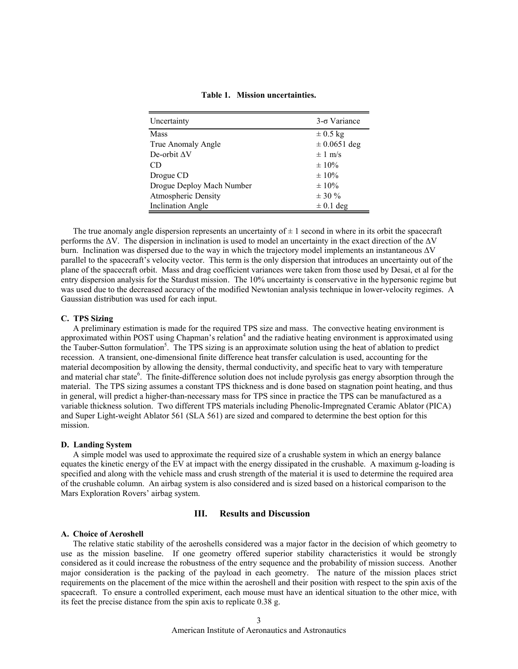| Table 1. Mission uncertainties. |  |  |
|---------------------------------|--|--|
|---------------------------------|--|--|

| Uncertainty                | $3-\sigma$ Variance |
|----------------------------|---------------------|
| Mass                       | $\pm 0.5$ kg        |
| True Anomaly Angle         | $\pm 0.0651$ deg    |
| De-orbit $\Delta V$        | $\pm 1$ m/s         |
| CD                         | $\pm 10\%$          |
| Drogue CD                  | $\pm 10\%$          |
| Drogue Deploy Mach Number  | $\pm 10\%$          |
| <b>Atmospheric Density</b> | $\pm$ 30 %          |
| <b>Inclination Angle</b>   | $\pm$ 0.1 deg       |

The true anomaly angle dispersion represents an uncertainty of  $\pm 1$  second in where in its orbit the spacecraft performs the ∆V. The dispersion in inclination is used to model an uncertainty in the exact direction of the ∆V burn. Inclination was dispersed due to the way in which the trajectory model implements an instantaneous ∆V parallel to the spacecraft's velocity vector. This term is the only dispersion that introduces an uncertainty out of the plane of the spacecraft orbit. Mass and drag coefficient variances were taken from those used by Desai, et al for the entry dispersion analysis for the Stardust mission. The 10% uncertainty is conservative in the hypersonic regime but was used due to the decreased accuracy of the modified Newtonian analysis technique in lower-velocity regimes. A Gaussian distribution was used for each input.

## **C. TPS Sizing**

A preliminary estimation is made for the required TPS size and mass. The convective heating environment is approximated within POST using Chapman's relation<sup>4</sup> and the radiative heating environment is approximated using the Tauber-Sutton formulation<sup>5</sup>. The TPS sizing is an approximate solution using the heat of ablation to predict recession. A transient, one-dimensional finite difference heat transfer calculation is used, accounting for the material decomposition by allowing the density, thermal conductivity, and specific heat to vary with temperature and material char state<sup>6</sup>. The finite-difference solution does not include pyrolysis gas energy absorption through the material. The TPS sizing assumes a constant TPS thickness and is done based on stagnation point heating, and thus in general, will predict a higher-than-necessary mass for TPS since in practice the TPS can be manufactured as a variable thickness solution. Two different TPS materials including Phenolic-Impregnated Ceramic Ablator (PICA) and Super Light-weight Ablator 561 (SLA 561) are sized and compared to determine the best option for this mission.

#### **D. Landing System**

A simple model was used to approximate the required size of a crushable system in which an energy balance equates the kinetic energy of the EV at impact with the energy dissipated in the crushable. A maximum g-loading is specified and along with the vehicle mass and crush strength of the material it is used to determine the required area of the crushable column. An airbag system is also considered and is sized based on a historical comparison to the Mars Exploration Rovers' airbag system.

## **III. Results and Discussion**

## **A. Choice of Aeroshell**

The relative static stability of the aeroshells considered was a major factor in the decision of which geometry to use as the mission baseline. If one geometry offered superior stability characteristics it would be strongly considered as it could increase the robustness of the entry sequence and the probability of mission success. Another major consideration is the packing of the payload in each geometry. The nature of the mission places strict requirements on the placement of the mice within the aeroshell and their position with respect to the spin axis of the spacecraft. To ensure a controlled experiment, each mouse must have an identical situation to the other mice, with its feet the precise distance from the spin axis to replicate 0.38 g.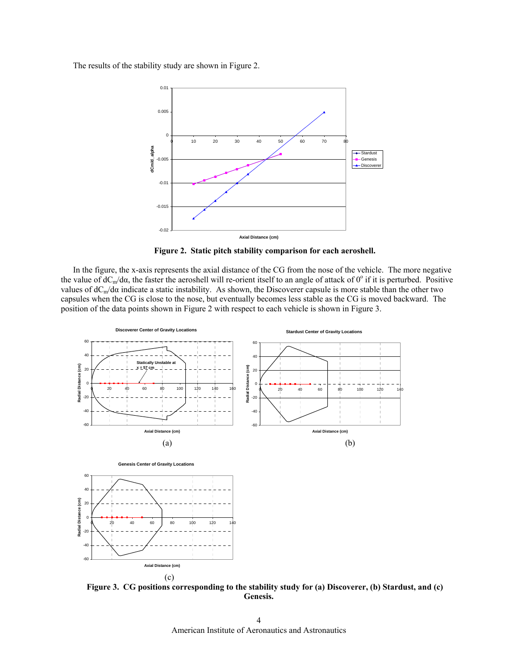The results of the stability study are shown in Figure 2.



**Figure 2. Static pitch stability comparison for each aeroshell.** 

0

In the figure, the x-axis represents the axial distance of the CG from the nose of the vehicle. The more negative the value of  $dC_m/d\alpha$ , the faster the aeroshell will re-orient itself to an angle of attack of 0° if it is perturbed. Positive values of  $dC_m/d\alpha$  indicate a static instability. As shown, the Discoverer capsule is more stable than the other two capsules when the CG is close to the nose, but eventually becomes less stable as the CG is moved backward. The position of the data points shown in Figure 2 with respect to each vehicle is shown in Figure 3.



**Figure 3. CG positions corresponding to the stability study for (a) Discoverer, (b) Stardust, and (c) Genesis.** 

American Institute of Aeronautics and Astronautics 4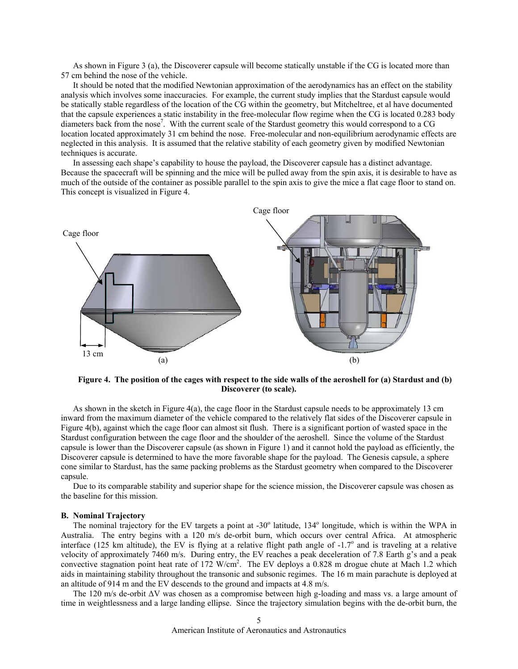As shown in Figure 3 (a), the Discoverer capsule will become statically unstable if the CG is located more than 57 cm behind the nose of the vehicle.

It should be noted that the modified Newtonian approximation of the aerodynamics has an effect on the stability analysis which involves some inaccuracies. For example, the current study implies that the Stardust capsule would be statically stable regardless of the location of the CG within the geometry, but Mitcheltree, et al have documented that the capsule experiences a static instability in the free-molecular flow regime when the CG is located 0.283 body diameters back from the nose<sup>7</sup>. With the current scale of the Stardust geometry this would correspond to a CG location located approximately 31 cm behind the nose. Free-molecular and non-equilibrium aerodynamic effects are neglected in this analysis. It is assumed that the relative stability of each geometry given by modified Newtonian techniques is accurate.

In assessing each shape's capability to house the payload, the Discoverer capsule has a distinct advantage. Because the spacecraft will be spinning and the mice will be pulled away from the spin axis, it is desirable to have as much of the outside of the container as possible parallel to the spin axis to give the mice a flat cage floor to stand on. This concept is visualized in Figure 4.



**Figure 4. The position of the cages with respect to the side walls of the aeroshell for (a) Stardust and (b) Discoverer (to scale).** 

As shown in the sketch in Figure 4(a), the cage floor in the Stardust capsule needs to be approximately 13 cm inward from the maximum diameter of the vehicle compared to the relatively flat sides of the Discoverer capsule in Figure 4(b), against which the cage floor can almost sit flush. There is a significant portion of wasted space in the Stardust configuration between the cage floor and the shoulder of the aeroshell. Since the volume of the Stardust capsule is lower than the Discoverer capsule (as shown in Figure 1) and it cannot hold the payload as efficiently, the Discoverer capsule is determined to have the more favorable shape for the payload. The Genesis capsule, a sphere cone similar to Stardust, has the same packing problems as the Stardust geometry when compared to the Discoverer capsule.

Due to its comparable stability and superior shape for the science mission, the Discoverer capsule was chosen as the baseline for this mission.

#### **B. Nominal Trajectory**

The nominal trajectory for the EV targets a point at -30° latitude, 134° longitude, which is within the WPA in Australia. The entry begins with a 120 m/s de-orbit burn, which occurs over central Africa. At atmospheric interface (125 km altitude), the EV is flying at a relative flight path angle of  $-1.7^\circ$  and is traveling at a relative velocity of approximately 7460 m/s. During entry, the EV reaches a peak deceleration of 7.8 Earth g's and a peak convective stagnation point heat rate of 172 W/cm<sup>2</sup>. The EV deploys a 0.828 m drogue chute at Mach 1.2 which aids in maintaining stability throughout the transonic and subsonic regimes. The 16 m main parachute is deployed at an altitude of 914 m and the EV descends to the ground and impacts at 4.8 m/s.

The 120 m/s de-orbit ∆V was chosen as a compromise between high g-loading and mass vs. a large amount of time in weightlessness and a large landing ellipse. Since the trajectory simulation begins with the de-orbit burn, the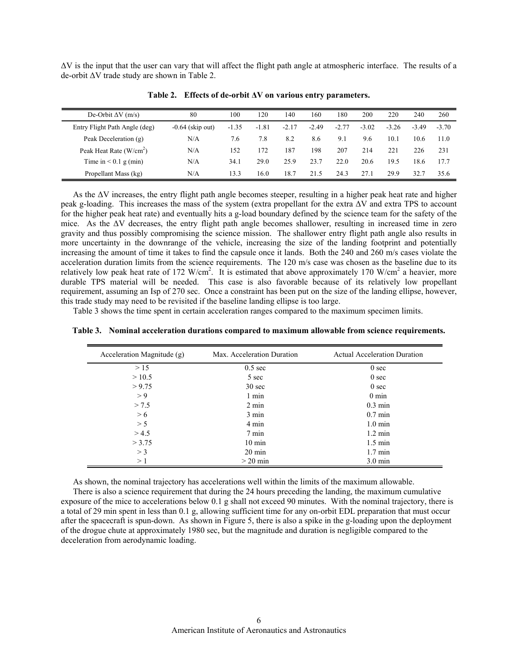∆V is the input that the user can vary that will affect the flight path angle at atmospheric interface. The results of a de-orbit ∆V trade study are shown in Table 2.

| De-Orbit $\Delta V$ (m/s)     | 80                 | 100     | 120     | 140     | 160     | 180     | 200     | 220     | 240     | 260     |
|-------------------------------|--------------------|---------|---------|---------|---------|---------|---------|---------|---------|---------|
| Entry Flight Path Angle (deg) | $-0.64$ (skip out) | $-1.35$ | $-1.81$ | $-2.17$ | $-2.49$ | $-2.77$ | $-3.02$ | $-3.26$ | $-3.49$ | $-3.70$ |
| Peak Deceleration (g)         | N/A                | 7.6     | 7.8     | 8.2     | 8.6     | 9.1     | 9.6     | 10.1    | 10.6    | 11.0    |
| Peak Heat Rate $(W/cm2)$      | N/A                | 152     | 172     | 187     | 198     | 207     | 214     | 221     | 226     | 231     |
| Time in $< 0.1$ g (min)       | N/A                | 34.1    | 29.0    | 25.9    | 23.7    | 22.0    | 20.6    | 19.5    | 18.6    | 17.7    |
| Propellant Mass (kg)          | N/A                | 13.3    | 16.0    | 18.7    | 21.5    | 24.3    | 27.1    | 29.9    | 32.7    | 35.6    |

**Table 2. Effects of de-orbit ∆V on various entry parameters.** 

As the ∆V increases, the entry flight path angle becomes steeper, resulting in a higher peak heat rate and higher peak g-loading. This increases the mass of the system (extra propellant for the extra ∆V and extra TPS to account for the higher peak heat rate) and eventually hits a g-load boundary defined by the science team for the safety of the mice. As the ∆V decreases, the entry flight path angle becomes shallower, resulting in increased time in zero gravity and thus possibly compromising the science mission. The shallower entry flight path angle also results in more uncertainty in the downrange of the vehicle, increasing the size of the landing footprint and potentially increasing the amount of time it takes to find the capsule once it lands. Both the 240 and 260 m/s cases violate the acceleration duration limits from the science requirements. The 120 m/s case was chosen as the baseline due to its relatively low peak heat rate of 172 W/cm<sup>2</sup>. It is estimated that above approximately 170 W/cm<sup>2</sup> a heavier, more durable TPS material will be needed. This case is also favorable because of its relatively low propellant requirement, assuming an Isp of 270 sec. Once a constraint has been put on the size of the landing ellipse, however, this trade study may need to be revisited if the baseline landing ellipse is too large.

Table 3 shows the time spent in certain acceleration ranges compared to the maximum specimen limits.

| Acceleration Magnitude (g) | Max.<br>Acceleration Duration | Actual Acceleration Duration |
|----------------------------|-------------------------------|------------------------------|

**Table 3. Nominal acceleration durations compared to maximum allowable from science requirements.** 

| Acceleration Magnitude (g) | Max. Acceleration Duration | <b>Actual Acceleration Duration</b> |
|----------------------------|----------------------------|-------------------------------------|
| >15                        | $0.5 \text{ sec}$          | 0 <sub>sec</sub>                    |
| >10.5                      | 5 sec                      | 0 <sub>sec</sub>                    |
| > 9.75                     | $30 \text{ sec}$           | 0 <sub>sec</sub>                    |
| > 9                        | 1 min                      | $0 \text{ min}$                     |
| > 7.5                      | $2 \text{ min}$            | $0.3 \text{ min}$                   |
| > 6                        | 3 min                      | $0.7 \text{ min}$                   |
| > 5                        | 4 min                      | $1.0 \text{ min}$                   |
| > 4.5                      | 7 min                      | $1.2 \text{ min}$                   |
| > 3.75                     | $10 \text{ min}$           | $1.5 \text{ min}$                   |
| $>$ 3                      | $20 \text{ min}$           | $1.7 \text{ min}$                   |
| >1                         | $>$ 20 min                 | $3.0 \text{ min}$                   |

As shown, the nominal trajectory has accelerations well within the limits of the maximum allowable.

There is also a science requirement that during the 24 hours preceding the landing, the maximum cumulative exposure of the mice to accelerations below 0.1 g shall not exceed 90 minutes. With the nominal trajectory, there is a total of 29 min spent in less than 0.1 g, allowing sufficient time for any on-orbit EDL preparation that must occur after the spacecraft is spun-down. As shown in Figure 5, there is also a spike in the g-loading upon the deployment of the drogue chute at approximately 1980 sec, but the magnitude and duration is negligible compared to the deceleration from aerodynamic loading.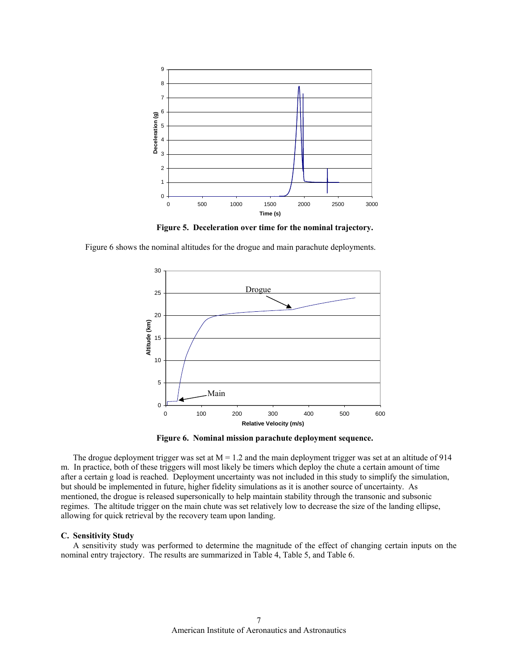

**Figure 5. Deceleration over time for the nominal trajectory.** 

Figure 6 shows the nominal altitudes for the drogue and main parachute deployments.



**Figure 6. Nominal mission parachute deployment sequence.** 

The drogue deployment trigger was set at  $M = 1.2$  and the main deployment trigger was set at an altitude of 914 m. In practice, both of these triggers will most likely be timers which deploy the chute a certain amount of time after a certain g load is reached. Deployment uncertainty was not included in this study to simplify the simulation, but should be implemented in future, higher fidelity simulations as it is another source of uncertainty. As mentioned, the drogue is released supersonically to help maintain stability through the transonic and subsonic regimes. The altitude trigger on the main chute was set relatively low to decrease the size of the landing ellipse, allowing for quick retrieval by the recovery team upon landing.

#### **C. Sensitivity Study**

A sensitivity study was performed to determine the magnitude of the effect of changing certain inputs on the nominal entry trajectory. The results are summarized in Table 4, Table 5, and Table 6.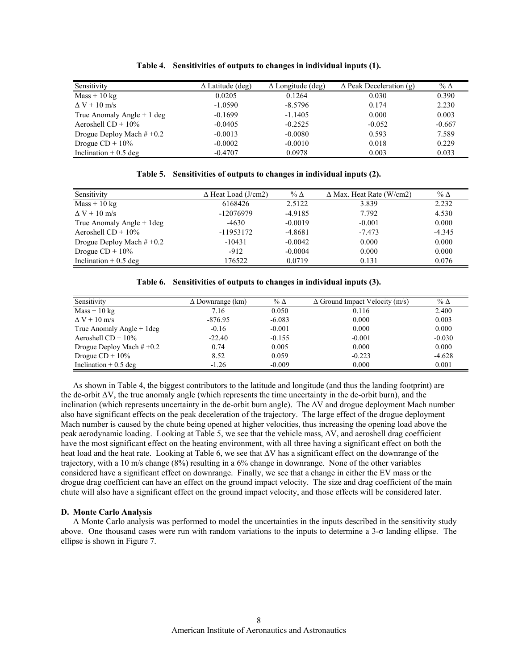| Sensitivity                 | $\Delta$ Latitude (deg) | $\Delta$ Longitude (deg) | $\Delta$ Peak Deceleration (g) | % $\Delta$ |
|-----------------------------|-------------------------|--------------------------|--------------------------------|------------|
| $Mass + 10 kg$              | 0.0205                  | 0.1264                   | 0.030                          | 0.390      |
| $\Delta V$ + 10 m/s         | $-1.0590$               | $-8.5796$                | 0.174                          | 2.230      |
| True Anomaly Angle $+1$ deg | $-0.1699$               | $-1.1405$                | 0.000                          | 0.003      |
| Aeroshell $CD + 10\%$       | $-0.0405$               | $-0.2525$                | $-0.052$                       | $-0.667$   |
| Drogue Deploy Mach $#+0.2$  | $-0.0013$               | $-0.0080$                | 0.593                          | 7.589      |
| Drogue $CD + 10\%$          | $-0.0002$               | $-0.0010$                | 0.018                          | 0.229      |
| Inclination $+0.5$ deg      | $-0.4707$               | 0.0978                   | 0.003                          | 0.033      |

**Table 4. Sensitivities of outputs to changes in individual inputs (1).** 

**Table 5. Sensitivities of outputs to changes in individual inputs (2).** 

| Sensitivity                  | $\Delta$ Heat Load (J/cm2) | % $\Delta$ | $\Delta$ Max. Heat Rate (W/cm2) | % $\Delta$ |
|------------------------------|----------------------------|------------|---------------------------------|------------|
| $Mass + 10 kg$               | 6168426                    | 2.5122     | 3.839                           | 2.232      |
| $\Delta V$ + 10 m/s          | -12076979                  | $-4.9185$  | 7.792                           | 4.530      |
| True Anomaly Angle $+$ 1 deg | $-4630$                    | $-0.0019$  | $-0.001$                        | 0.000      |
| Aeroshell $CD + 10\%$        | -11953172                  | $-4.8681$  | $-7.473$                        | $-4.345$   |
| Drogue Deploy Mach $#+0.2$   | $-10431$                   | $-0.0042$  | 0.000                           | 0.000      |
| Drogue $CD + 10\%$           | $-912$                     | $-0.0004$  | 0.000                           | 0.000      |
| Inclination $+0.5$ deg       | 176522                     | 0.0719     | 0.131                           | 0.076      |

**Table 6. Sensitivities of outputs to changes in individual inputs (3).** 

| Sensitivity                | $\Delta$ Downrange (km) | % $\Delta$ | $\Delta$ Ground Impact Velocity (m/s) | $\%$ $\Delta$ |
|----------------------------|-------------------------|------------|---------------------------------------|---------------|
| $Mass + 10 kg$             | 7.16                    | 0.050      | 0.116                                 | 2.400         |
| $\Delta V$ + 10 m/s        | $-876.95$               | $-6.083$   | 0.000                                 | 0.003         |
| True Anomaly Angle + 1 deg | $-0.16$                 | $-0.001$   | 0.000                                 | 0.000         |
| Aeroshell $CD + 10\%$      | $-22.40$                | $-0.155$   | $-0.001$                              | $-0.030$      |
| Drogue Deploy Mach $#+0.2$ | 0.74                    | 0.005      | 0.000                                 | 0.000         |
| Drogue $CD + 10\%$         | 8.52                    | 0.059      | $-0.223$                              | $-4.628$      |
| Inclination $+0.5$ deg     | $-1.26$                 | $-0.009$   | 0.000                                 | 0.001         |

As shown in Table 4, the biggest contributors to the latitude and longitude (and thus the landing footprint) are the de-orbit ∆V, the true anomaly angle (which represents the time uncertainty in the de-orbit burn), and the inclination (which represents uncertainty in the de-orbit burn angle). The ∆V and drogue deployment Mach number also have significant effects on the peak deceleration of the trajectory. The large effect of the drogue deployment Mach number is caused by the chute being opened at higher velocities, thus increasing the opening load above the peak aerodynamic loading. Looking at Table 5, we see that the vehicle mass, ∆V, and aeroshell drag coefficient have the most significant effect on the heating environment, with all three having a significant effect on both the heat load and the heat rate. Looking at Table 6, we see that ∆V has a significant effect on the downrange of the trajectory, with a 10 m/s change (8%) resulting in a 6% change in downrange. None of the other variables considered have a significant effect on downrange. Finally, we see that a change in either the EV mass or the drogue drag coefficient can have an effect on the ground impact velocity. The size and drag coefficient of the main chute will also have a significant effect on the ground impact velocity, and those effects will be considered later.

#### **D. Monte Carlo Analysis**

A Monte Carlo analysis was performed to model the uncertainties in the inputs described in the sensitivity study above. One thousand cases were run with random variations to the inputs to determine a 3-σ landing ellipse. The ellipse is shown in Figure 7.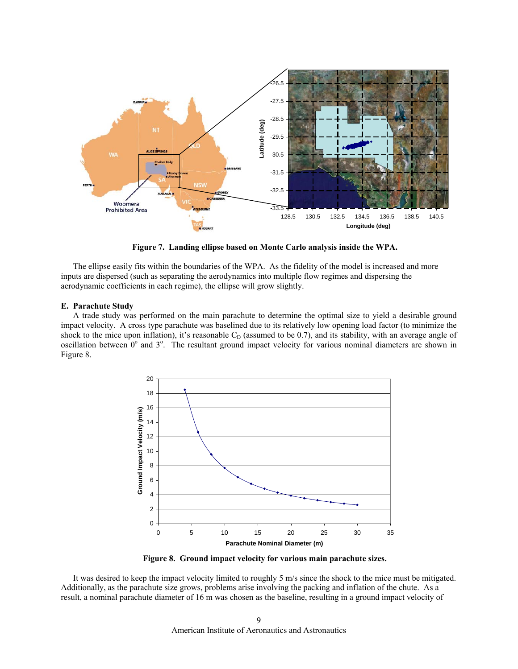

**Figure 7. Landing ellipse based on Monte Carlo analysis inside the WPA.** 

The ellipse easily fits within the boundaries of the WPA. As the fidelity of the model is increased and more inputs are dispersed (such as separating the aerodynamics into multiple flow regimes and dispersing the aerodynamic coefficients in each regime), the ellipse will grow slightly.

## **E. Parachute Study**

A trade study was performed on the main parachute to determine the optimal size to yield a desirable ground impact velocity. A cross type parachute was baselined due to its relatively low opening load factor (to minimize the shock to the mice upon inflation), it's reasonable  $C<sub>D</sub>$  (assumed to be 0.7), and its stability, with an average angle of oscillation between  $0^{\circ}$  and  $3^{\circ}$ . The resultant ground impact velocity for various nominal diameters are shown in Figure 8.



**Figure 8. Ground impact velocity for various main parachute sizes.** 

It was desired to keep the impact velocity limited to roughly 5 m/s since the shock to the mice must be mitigated. Additionally, as the parachute size grows, problems arise involving the packing and inflation of the chute. As a result, a nominal parachute diameter of 16 m was chosen as the baseline, resulting in a ground impact velocity of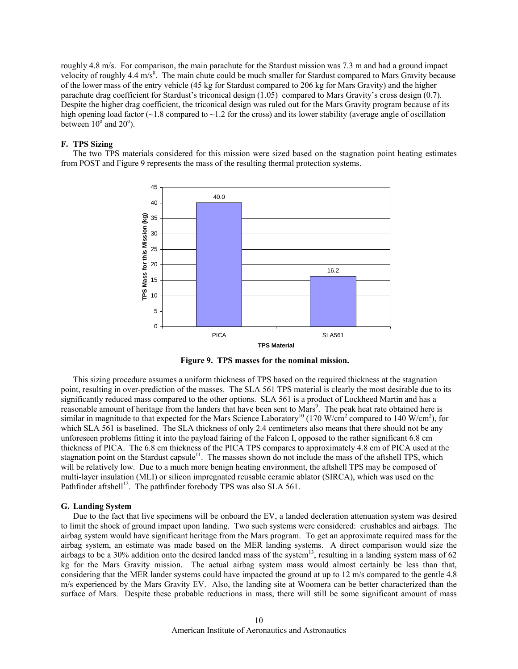roughly 4.8 m/s. For comparison, the main parachute for the Stardust mission was 7.3 m and had a ground impact velocity of roughly 4.4  $\text{m/s}^8$ . The main chute could be much smaller for Stardust compared to Mars Gravity because of the lower mass of the entry vehicle (45 kg for Stardust compared to 206 kg for Mars Gravity) and the higher parachute drag coefficient for Stardust's triconical design (1.05) compared to Mars Gravity's cross design (0.7). Despite the higher drag coefficient, the triconical design was ruled out for the Mars Gravity program because of its high opening load factor  $\sim$  1.8 compared to  $\sim$  1.2 for the cross) and its lower stability (average angle of oscillation between  $10^{\circ}$  and  $20^{\circ}$ ).

## **F. TPS Sizing**

The two TPS materials considered for this mission were sized based on the stagnation point heating estimates from POST and Figure 9 represents the mass of the resulting thermal protection systems.



**Figure 9. TPS masses for the nominal mission.** 

This sizing procedure assumes a uniform thickness of TPS based on the required thickness at the stagnation point, resulting in over-prediction of the masses. The SLA 561 TPS material is clearly the most desirable due to its significantly reduced mass compared to the other options. SLA 561 is a product of Lockheed Martin and has a reasonable amount of heritage from the landers that have been sent to Mars<sup>9</sup>. The peak heat rate obtained here is similar in magnitude to that expected for the Mars Science Laboratory<sup>10</sup> (170 W/cm<sup>2</sup> compared to 140 W/cm<sup>2</sup>), for which SLA 561 is baselined. The SLA thickness of only 2.4 centimeters also means that there should not be any unforeseen problems fitting it into the payload fairing of the Falcon I, opposed to the rather significant 6.8 cm thickness of PICA. The 6.8 cm thickness of the PICA TPS compares to approximately 4.8 cm of PICA used at the stagnation point on the Stardust capsule<sup>11</sup>. The masses shown do not include the mass of the aftshell TPS, which will be relatively low. Due to a much more benign heating environment, the aftshell TPS may be composed of multi-layer insulation (MLI) or silicon impregnated reusable ceramic ablator (SIRCA), which was used on the Pathfinder aftshell<sup>12</sup>. The pathfinder forebody TPS was also SLA 561.

### **G. Landing System**

Due to the fact that live specimens will be onboard the EV, a landed decleration attenuation system was desired to limit the shock of ground impact upon landing. Two such systems were considered: crushables and airbags. The airbag system would have significant heritage from the Mars program. To get an approximate required mass for the airbag system, an estimate was made based on the MER landing systems. A direct comparison would size the airbags to be a 30% addition onto the desired landed mass of the system<sup>13</sup>, resulting in a landing system mass of 62 kg for the Mars Gravity mission. The actual airbag system mass would almost certainly be less than that, considering that the MER lander systems could have impacted the ground at up to 12 m/s compared to the gentle 4.8 m/s experienced by the Mars Gravity EV. Also, the landing site at Woomera can be better characterized than the surface of Mars. Despite these probable reductions in mass, there will still be some significant amount of mass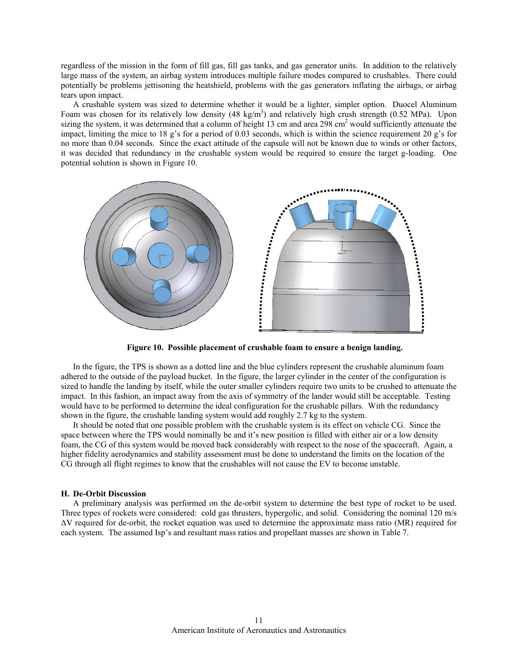regardless of the mission in the form of fill gas, fill gas tanks, and gas generator units. In addition to the relatively large mass of the system, an airbag system introduces multiple failure modes compared to crushables. There could potentially be problems jettisoning the heatshield, problems with the gas generators inflating the airbags, or airbag tears upon impact.

A crushable system was sized to determine whether it would be a lighter, simpler option. Duocel Aluminum Foam was chosen for its relatively low density  $(48 \text{ kg/m}^3)$  and relatively high crush strength  $(0.52 \text{ MPa})$ . Upon sizing the system, it was determined that a column of height 13 cm and area 298 cm<sup>2</sup> would sufficiently attenuate the impact, limiting the mice to 18 g's for a period of 0.03 seconds, which is within the science requirement 20 g's for no more than 0.04 seconds. Since the exact attitude of the capsule will not be known due to winds or other factors, it was decided that redundancy in the crushable system would be required to ensure the target g-loading. One potential solution is shown in Figure 10.



**Figure 10. Possible placement of crushable foam to ensure a benign landing.** 

In the figure, the TPS is shown as a dotted line and the blue cylinders represent the crushable aluminum foam adhered to the outside of the payload bucket. In the figure, the larger cylinder in the center of the configuration is sized to handle the landing by itself, while the outer smaller cylinders require two units to be crushed to attenuate the impact. In this fashion, an impact away from the axis of symmetry of the lander would still be acceptable. Testing would have to be performed to determine the ideal configuration for the crushable pillars. With the redundancy shown in the figure, the crushable landing system would add roughly 2.7 kg to the system.

It should be noted that one possible problem with the crushable system is its effect on vehicle CG. Since the space between where the TPS would nominally be and it's new position is filled with either air or a low density foam, the CG of this system would be moved back considerably with respect to the nose of the spacecraft. Again, a higher fidelity aerodynamics and stability assessment must be done to understand the limits on the location of the CG through all flight regimes to know that the crushables will not cause the EV to become unstable.

#### **H. De-Orbit Discussion**

A preliminary analysis was performed on the de-orbit system to determine the best type of rocket to be used. Three types of rockets were considered: cold gas thrusters, hypergolic, and solid. Considering the nominal 120 m/s ∆V required for de-orbit, the rocket equation was used to determine the approximate mass ratio (MR) required for each system. The assumed Isp's and resultant mass ratios and propellant masses are shown in Table 7.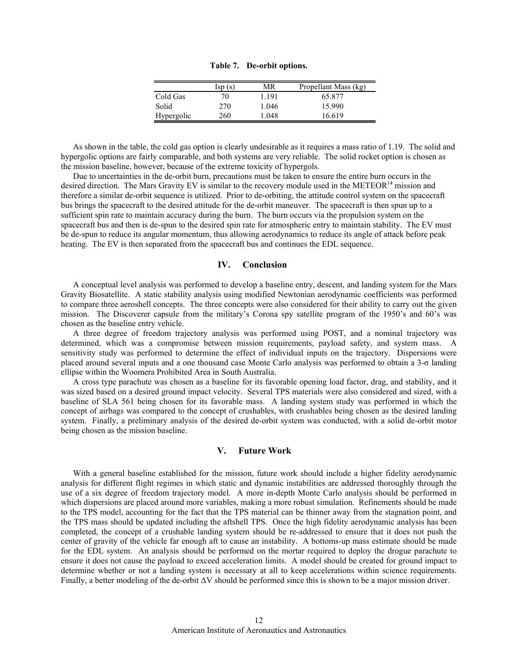|            | $\text{Isp}(s)$ | MR    | Propellant Mass (kg) |
|------------|-----------------|-------|----------------------|
| Cold Gas   | 70              | 1 191 | 65.877               |
| Solid      | 270             | 1.046 | 15.990               |
| Hypergolic | 260             | -048  | 16.619               |

**Table 7. De-orbit options.** 

As shown in the table, the cold gas option is clearly undesirable as it requires a mass ratio of 1.19. The solid and hypergolic options are fairly comparable, and both systems are very reliable. The solid rocket option is chosen as the mission baseline, however, because of the extreme toxicity of hypergols.

Due to uncertainties in the de-orbit burn, precautions must be taken to ensure the entire burn occurs in the desired direction. The Mars Gravity EV is similar to the recovery module used in the METEOR<sup>14</sup> mission and therefore a similar de-orbit sequence is utilized. Prior to de-orbiting, the attitude control system on the spacecraft bus brings the spacecraft to the desired attitude for the de-orbit maneuver. The spacecraft is then spun up to a sufficient spin rate to maintain accuracy during the burn. The burn occurs via the propulsion system on the spacecraft bus and then is de-spun to the desired spin rate for atmospheric entry to maintain stability. The EV must be de-spun to reduce its angular momentum, thus allowing aerodynamics to reduce its angle of attack before peak heating. The EV is then separated from the spacecraft bus and continues the EDL sequence.

## **IV. Conclusion**

A conceptual level analysis was performed to develop a baseline entry, descent, and landing system for the Mars Gravity Biosatellite. A static stability analysis using modified Newtonian aerodynamic coefficients was performed to compare three aeroshell concepts. The three concepts were also considered for their ability to carry out the given mission. The Discoverer capsule from the military's Corona spy satellite program of the 1950's and 60's was chosen as the baseline entry vehicle.

A three degree of freedom trajectory analysis was performed using POST, and a nominal trajectory was determined, which was a compromise between mission requirements, payload safety, and system mass. A sensitivity study was performed to determine the effect of individual inputs on the trajectory. Dispersions were placed around several inputs and a one thousand case Monte Carlo analysis was performed to obtain a 3-σ landing ellipse within the Woomera Prohibited Area in South Australia.

A cross type parachute was chosen as a baseline for its favorable opening load factor, drag, and stability, and it was sized based on a desired ground impact velocity. Several TPS materials were also considered and sized, with a baseline of SLA 561 being chosen for its favorable mass. A landing system study was performed in which the concept of airbags was compared to the concept of crushables, with crushables being chosen as the desired landing system. Finally, a preliminary analysis of the desired de-orbit system was conducted, with a solid de-orbit motor being chosen as the mission baseline.

## **V. Future Work**

With a general baseline established for the mission, future work should include a higher fidelity aerodynamic analysis for different flight regimes in which static and dynamic instabilities are addressed thoroughly through the use of a six degree of freedom trajectory model. A more in-depth Monte Carlo analysis should be performed in which dispersions are placed around more variables, making a more robust simulation. Refinements should be made to the TPS model, accounting for the fact that the TPS material can be thinner away from the stagnation point, and the TPS mass should be updated including the aftshell TPS. Once the high fidelity aerodynamic analysis has been completed, the concept of a crushable landing system should be re-addressed to ensure that it does not push the center of gravity of the vehicle far enough aft to cause an instability. A bottoms-up mass estimate should be made for the EDL system. An analysis should be performed on the mortar required to deploy the drogue parachute to ensure it does not cause the payload to exceed acceleration limits. A model should be created for ground impact to determine whether or not a landing system is necessary at all to keep accelerations within science requirements. Finally, a better modeling of the de-orbit ∆V should be performed since this is shown to be a major mission driver.